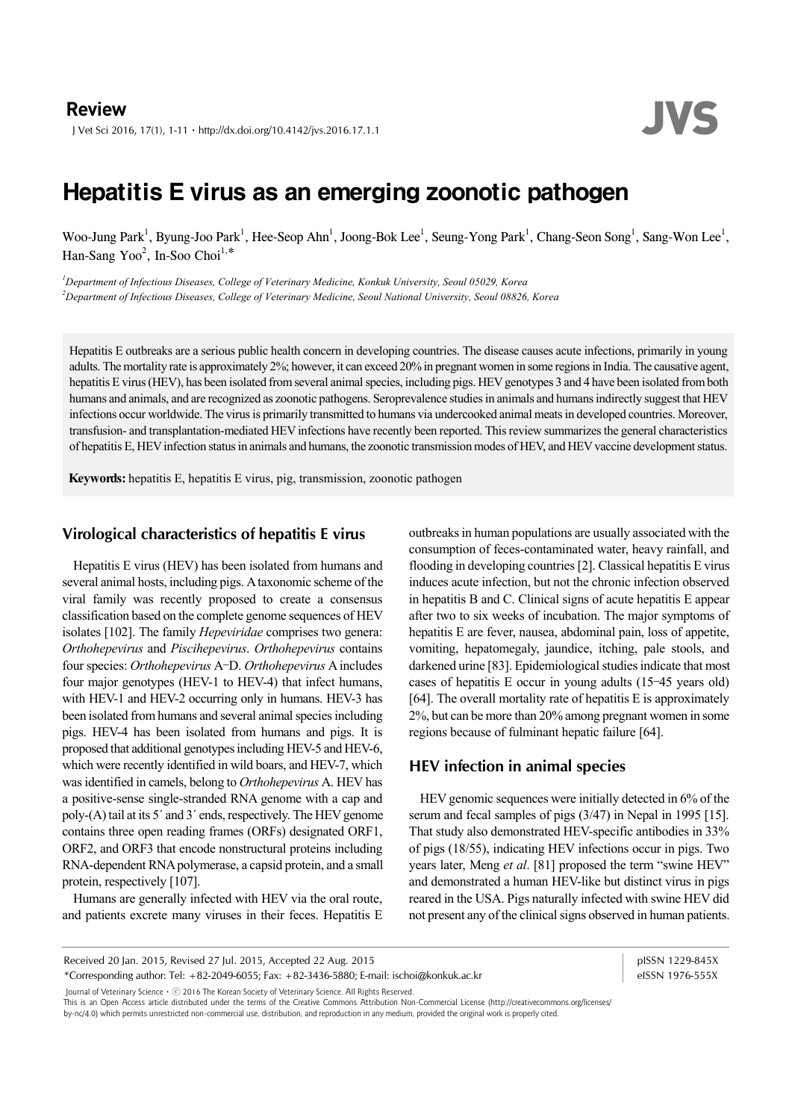**Review**<br>J Vet Sci 2016, 17(1), 1-11 · http://dx.doi.org/10.4142/jvs.2016.17.1.1 JVS

# Hepatitis E virus as an emerging zoonotic pathogen

Woo-Jung Park<sup>1</sup>, Byung-Joo Park<sup>1</sup>, Hee-Seop Ahn<sup>1</sup>, Joong-Bok Lee<sup>1</sup>, Seung-Yong Park<sup>1</sup>, Chang-Seon Song<sup>1</sup>, Sang-Won Lee<sup>1</sup>, Han-Sang Yoo<sup>2</sup>, In-Soo Choi<sup>1,\*</sup>

*1 Department of Infectious Diseases, College of Veterinary Medicine, Konkuk University, Seoul 05029, Korea 2 Department of Infectious Diseases, College of Veterinary Medicine, Seoul National University, Seoul 08826, Korea* 

Hepatitis E outbreaks are a serious public health concern in developing countries. The disease causes acute infections, primarily in young adults. The mortality rate is approximately 2%; however, it can exceed 20% in pregnant women in some regions in India. The causative agent, hepatitis E virus (HEV), has been isolated from several animal species, including pigs. HEV genotypes 3 and 4 have been isolated from both humans and animals, and are recognized as zoonotic pathogens. Seroprevalence studies in animals and humans indirectly suggest that HEV infections occur worldwide. The virus is primarily transmitted to humans via undercooked animal meats in developed countries. Moreover, transfusion- and transplantation-mediated HEV infections have recently been reported. This review summarizes the general characteristics of hepatitis E, HEV infection status in animals and humans, the zoonotic transmission modes of HEV, and HEV vaccine development status.

**Keywords:** hepatitis E, hepatitis E virus, pig, transmission, zoonotic pathogen

#### **Virological characteristics of hepatitis E virus**

Hepatitis E virus (HEV) has been isolated from humans and several animal hosts, including pigs. A taxonomic scheme of the viral family was recently proposed to create a consensus classification based on the complete genome sequences of HEV isolates [102]. The family *Hepeviridae* comprises two genera: *Orthohepevirus* and *Piscihepevirus*. *Orthohepevirus* contains four species: *Orthohepevirus* A–D. *Orthohepevirus* A includes four major genotypes (HEV-1 to HEV-4) that infect humans, with HEV-1 and HEV-2 occurring only in humans. HEV-3 has been isolated from humans and several animal species including pigs. HEV-4 has been isolated from humans and pigs. It is proposed that additional genotypes including HEV-5 and HEV-6, which were recently identified in wild boars, and HEV-7, which was identified in camels, belong to *Orthohepevirus* A. HEV has a positive-sense single-stranded RNA genome with a cap and poly-(A) tail at its 5´ and 3´ ends, respectively. The HEV genome contains three open reading frames (ORFs) designated ORF1, ORF2, and ORF3 that encode nonstructural proteins including RNA-dependent RNA polymerase, a capsid protein, and a small protein, respectively [107].

Humans are generally infected with HEV via the oral route, and patients excrete many viruses in their feces. Hepatitis E outbreaks in human populations are usually associated with the consumption of feces-contaminated water, heavy rainfall, and flooding in developing countries [2]. Classical hepatitis E virus induces acute infection, but not the chronic infection observed in hepatitis B and C. Clinical signs of acute hepatitis E appear after two to six weeks of incubation. The major symptoms of hepatitis E are fever, nausea, abdominal pain, loss of appetite, vomiting, hepatomegaly, jaundice, itching, pale stools, and darkened urine [83]. Epidemiological studies indicate that most cases of hepatitis E occur in young adults (15–45 years old) [64]. The overall mortality rate of hepatitis E is approximately 2%, but can be more than 20% among pregnant women in some regions because of fulminant hepatic failure [64].

#### **HEV infection in animal species**

HEV genomic sequences were initially detected in 6% of the serum and fecal samples of pigs (3/47) in Nepal in 1995 [15]. That study also demonstrated HEV-specific antibodies in 33% of pigs (18/55), indicating HEV infections occur in pigs. Two years later, Meng *et al*. [81] proposed the term "swine HEV" and demonstrated a human HEV-like but distinct virus in pigs reared in the USA. Pigs naturally infected with swine HEV did not present any of the clinical signs observed in human patients.

Received 20 Jan. 2015, Revised 27 Jul. 2015, Accepted 22 Aug. 2015

\*Corresponding author: Tel: +82-2049-6055; Fax: +82-3436-5880; E-mail: ischoi@konkuk.ac.kr

pISSN 1229-845X eISSN 1976-555X

Journal of Veterinary Scienceㆍⓒ 2016 The Korean Society of Veterinary Science. All Rights Reserved.

This is an Open Access article distributed under the terms of the Creative Commons Attribution Non-Commercial License (http://creativecommons.org/licenses/

by-nc/4.0) which permits unrestricted non-commercial use, distribution, and reproduction in any medium, provided the original work is properly cited.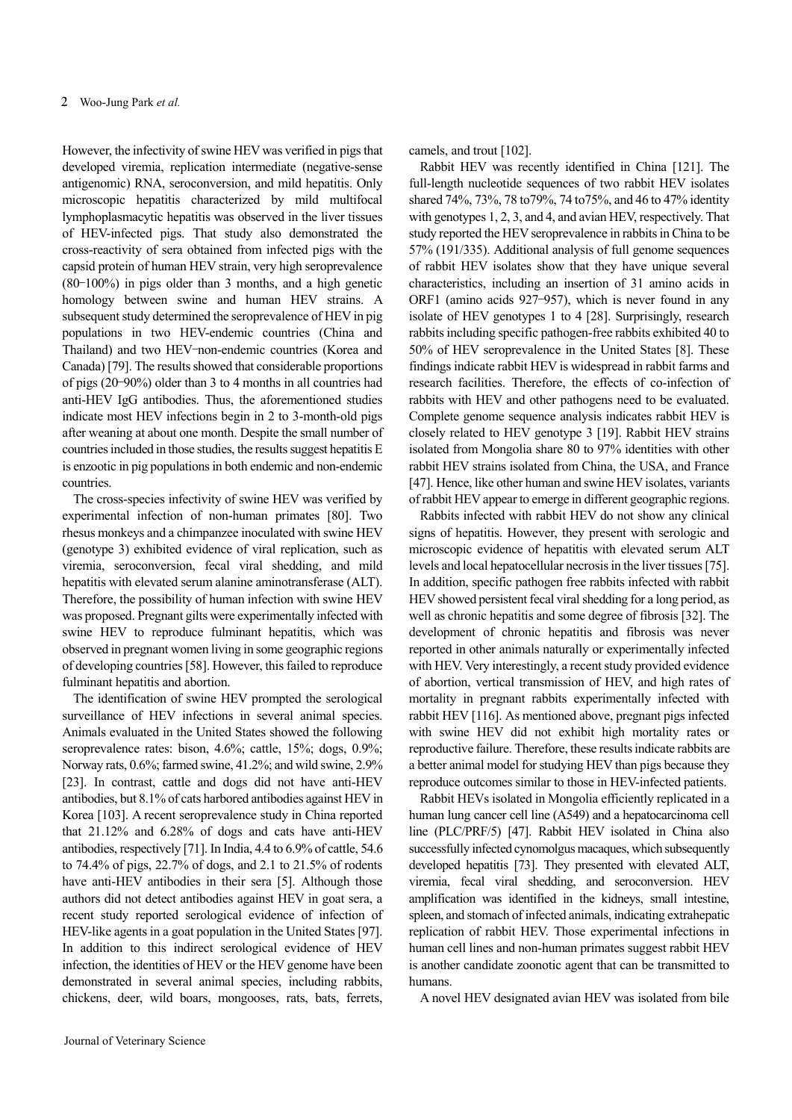However, the infectivity of swine HEV was verified in pigs that developed viremia, replication intermediate (negative-sense antigenomic) RNA, seroconversion, and mild hepatitis. Only microscopic hepatitis characterized by mild multifocal lymphoplasmacytic hepatitis was observed in the liver tissues of HEV-infected pigs. That study also demonstrated the cross-reactivity of sera obtained from infected pigs with the capsid protein of human HEV strain, very high seroprevalence (80–100%) in pigs older than 3 months, and a high genetic homology between swine and human HEV strains. A subsequent study determined the seroprevalence of HEV in pig populations in two HEV-endemic countries (China and Thailand) and two HEV–non-endemic countries (Korea and Canada) [79]. The results showed that considerable proportions of pigs (20–90%) older than 3 to 4 months in all countries had anti-HEV IgG antibodies. Thus, the aforementioned studies indicate most HEV infections begin in 2 to 3-month-old pigs after weaning at about one month. Despite the small number of countries included in those studies, the results suggest hepatitis E is enzootic in pig populations in both endemic and non-endemic countries.

The cross-species infectivity of swine HEV was verified by experimental infection of non-human primates [80]. Two rhesus monkeys and a chimpanzee inoculated with swine HEV (genotype 3) exhibited evidence of viral replication, such as viremia, seroconversion, fecal viral shedding, and mild hepatitis with elevated serum alanine aminotransferase (ALT). Therefore, the possibility of human infection with swine HEV was proposed. Pregnant gilts were experimentally infected with swine HEV to reproduce fulminant hepatitis, which was observed in pregnant women living in some geographic regions of developing countries [58]. However, this failed to reproduce fulminant hepatitis and abortion.

The identification of swine HEV prompted the serological surveillance of HEV infections in several animal species. Animals evaluated in the United States showed the following seroprevalence rates: bison, 4.6%; cattle, 15%; dogs, 0.9%; Norway rats, 0.6%; farmed swine, 41.2%; and wild swine, 2.9% [23]. In contrast, cattle and dogs did not have anti-HEV antibodies, but 8.1% of cats harbored antibodies against HEV in Korea [103]. A recent seroprevalence study in China reported that 21.12% and 6.28% of dogs and cats have anti-HEV antibodies, respectively [71]. In India, 4.4 to 6.9% of cattle, 54.6 to 74.4% of pigs, 22.7% of dogs, and 2.1 to 21.5% of rodents have anti-HEV antibodies in their sera [5]. Although those authors did not detect antibodies against HEV in goat sera, a recent study reported serological evidence of infection of HEV-like agents in a goat population in the United States [97]. In addition to this indirect serological evidence of HEV infection, the identities of HEV or the HEV genome have been demonstrated in several animal species, including rabbits, chickens, deer, wild boars, mongooses, rats, bats, ferrets,

camels, and trout [102].

Rabbit HEV was recently identified in China [121]. The full-length nucleotide sequences of two rabbit HEV isolates shared 74%, 73%, 78 to79%, 74 to75%, and 46 to 47% identity with genotypes 1, 2, 3, and 4, and avian HEV, respectively. That study reported the HEV seroprevalence in rabbits in China to be 57% (191/335). Additional analysis of full genome sequences of rabbit HEV isolates show that they have unique several characteristics, including an insertion of 31 amino acids in ORF1 (amino acids 927–957), which is never found in any isolate of HEV genotypes 1 to 4 [28]. Surprisingly, research rabbits including specific pathogen-free rabbits exhibited 40 to 50% of HEV seroprevalence in the United States [8]. These findings indicate rabbit HEV is widespread in rabbit farms and research facilities. Therefore, the effects of co-infection of rabbits with HEV and other pathogens need to be evaluated. Complete genome sequence analysis indicates rabbit HEV is closely related to HEV genotype 3 [19]. Rabbit HEV strains isolated from Mongolia share 80 to 97% identities with other rabbit HEV strains isolated from China, the USA, and France [47]. Hence, like other human and swine HEV isolates, variants of rabbit HEV appear to emerge in different geographic regions.

Rabbits infected with rabbit HEV do not show any clinical signs of hepatitis. However, they present with serologic and microscopic evidence of hepatitis with elevated serum ALT levels and local hepatocellular necrosis in the liver tissues [75]. In addition, specific pathogen free rabbits infected with rabbit HEV showed persistent fecal viral shedding for a long period, as well as chronic hepatitis and some degree of fibrosis [32]. The development of chronic hepatitis and fibrosis was never reported in other animals naturally or experimentally infected with HEV. Very interestingly, a recent study provided evidence of abortion, vertical transmission of HEV, and high rates of mortality in pregnant rabbits experimentally infected with rabbit HEV [116]. As mentioned above, pregnant pigs infected with swine HEV did not exhibit high mortality rates or reproductive failure. Therefore, these results indicate rabbits are a better animal model for studying HEV than pigs because they reproduce outcomes similar to those in HEV-infected patients.

Rabbit HEVs isolated in Mongolia efficiently replicated in a human lung cancer cell line (A549) and a hepatocarcinoma cell line (PLC/PRF/5) [47]. Rabbit HEV isolated in China also successfully infected cynomolgus macaques, which subsequently developed hepatitis [73]. They presented with elevated ALT, viremia, fecal viral shedding, and seroconversion. HEV amplification was identified in the kidneys, small intestine, spleen, and stomach of infected animals, indicating extrahepatic replication of rabbit HEV. Those experimental infections in human cell lines and non-human primates suggest rabbit HEV is another candidate zoonotic agent that can be transmitted to humans.

A novel HEV designated avian HEV was isolated from bile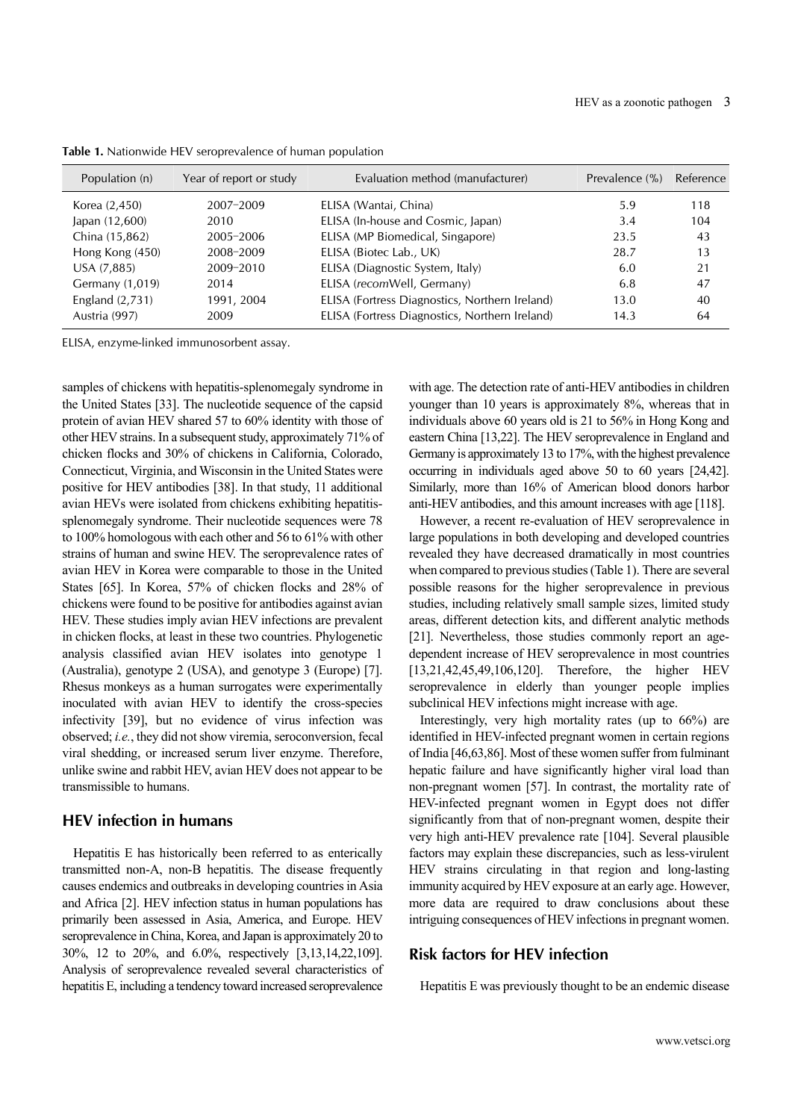| Population (n)    | Year of report or study | Evaluation method (manufacturer)               | Prevalence (%) | Reference |
|-------------------|-------------------------|------------------------------------------------|----------------|-----------|
| Korea (2,450)     | 2007-2009               | ELISA (Wantai, China)                          | 5.9            | 118       |
| Japan (12,600)    | 2010                    | ELISA (In-house and Cosmic, Japan)             | 3.4            | 104       |
| China (15,862)    | 2005-2006               | ELISA (MP Biomedical, Singapore)               | 23.5           | 43        |
| Hong Kong (450)   | 2008-2009               | ELISA (Biotec Lab., UK)                        | 28.7           | 13        |
| USA (7,885)       | 2009-2010               | ELISA (Diagnostic System, Italy)               | 6.0            | 21        |
| Germany (1,019)   | 2014                    | ELISA (recomWell, Germany)                     | 6.8            | 47        |
| England $(2,731)$ | 1991, 2004              | ELISA (Fortress Diagnostics, Northern Ireland) | 13.0           | 40        |
| Austria (997)     | 2009                    | ELISA (Fortress Diagnostics, Northern Ireland) | 14.3           | 64        |

**Table 1.** Nationwide HEV seroprevalence of human population

ELISA, enzyme-linked immunosorbent assay.

samples of chickens with hepatitis-splenomegaly syndrome in the United States [33]. The nucleotide sequence of the capsid protein of avian HEV shared 57 to 60% identity with those of other HEV strains. In a subsequent study, approximately 71% of chicken flocks and 30% of chickens in California, Colorado, Connecticut, Virginia, and Wisconsin in the United States were positive for HEV antibodies [38]. In that study, 11 additional avian HEVs were isolated from chickens exhibiting hepatitissplenomegaly syndrome. Their nucleotide sequences were 78 to 100% homologous with each other and 56 to 61% with other strains of human and swine HEV. The seroprevalence rates of avian HEV in Korea were comparable to those in the United States [65]. In Korea, 57% of chicken flocks and 28% of chickens were found to be positive for antibodies against avian HEV. These studies imply avian HEV infections are prevalent in chicken flocks, at least in these two countries. Phylogenetic analysis classified avian HEV isolates into genotype 1 (Australia), genotype 2 (USA), and genotype 3 (Europe) [7]. Rhesus monkeys as a human surrogates were experimentally inoculated with avian HEV to identify the cross-species infectivity [39], but no evidence of virus infection was observed; *i.e.*, they did not show viremia, seroconversion, fecal viral shedding, or increased serum liver enzyme. Therefore, unlike swine and rabbit HEV, avian HEV does not appear to be transmissible to humans.

#### **HEV infection in humans**

Hepatitis E has historically been referred to as enterically transmitted non-A, non-B hepatitis. The disease frequently causes endemics and outbreaks in developing countries in Asia and Africa [2]. HEV infection status in human populations has primarily been assessed in Asia, America, and Europe. HEV seroprevalence in China, Korea, and Japan is approximately 20 to 30%, 12 to 20%, and 6.0%, respectively [3,13,14,22,109]. Analysis of seroprevalence revealed several characteristics of hepatitis E, including a tendency toward increased seroprevalence with age. The detection rate of anti-HEV antibodies in children younger than 10 years is approximately 8%, whereas that in individuals above 60 years old is 21 to 56% in Hong Kong and eastern China [13,22]. The HEV seroprevalence in England and Germany is approximately 13 to 17%, with the highest prevalence occurring in individuals aged above 50 to 60 years [24,42]. Similarly, more than 16% of American blood donors harbor anti-HEV antibodies, and this amount increases with age [118].

However, a recent re-evaluation of HEV seroprevalence in large populations in both developing and developed countries revealed they have decreased dramatically in most countries when compared to previous studies (Table 1). There are several possible reasons for the higher seroprevalence in previous studies, including relatively small sample sizes, limited study areas, different detection kits, and different analytic methods [21]. Nevertheless, those studies commonly report an agedependent increase of HEV seroprevalence in most countries [13,21,42,45,49,106,120]. Therefore, the higher HEV seroprevalence in elderly than younger people implies subclinical HEV infections might increase with age.

Interestingly, very high mortality rates (up to 66%) are identified in HEV-infected pregnant women in certain regions of India [46,63,86]. Most of these women suffer from fulminant hepatic failure and have significantly higher viral load than non-pregnant women [57]. In contrast, the mortality rate of HEV-infected pregnant women in Egypt does not differ significantly from that of non-pregnant women, despite their very high anti-HEV prevalence rate [104]. Several plausible factors may explain these discrepancies, such as less-virulent HEV strains circulating in that region and long-lasting immunity acquired by HEV exposure at an early age. However, more data are required to draw conclusions about these intriguing consequences of HEV infections in pregnant women.

#### **Risk factors for HEV infection**

Hepatitis E was previously thought to be an endemic disease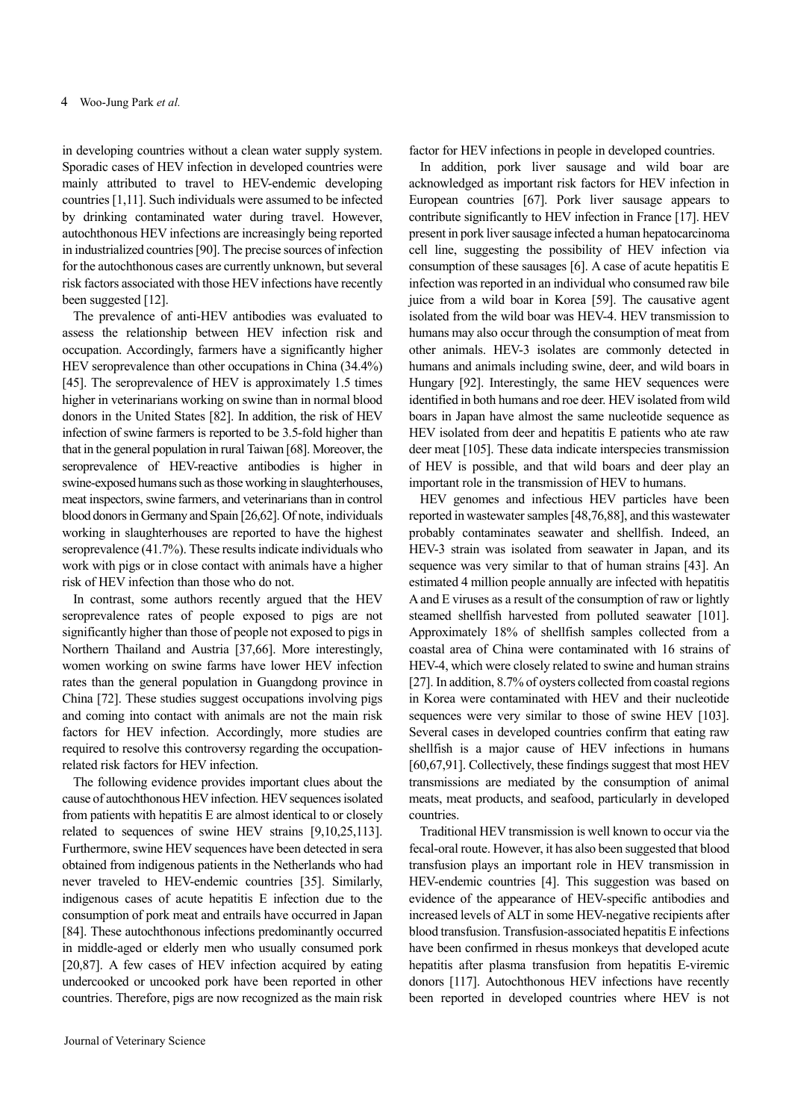in developing countries without a clean water supply system. Sporadic cases of HEV infection in developed countries were mainly attributed to travel to HEV-endemic developing countries [1,11]. Such individuals were assumed to be infected by drinking contaminated water during travel. However, autochthonous HEV infections are increasingly being reported in industrialized countries [90]. The precise sources of infection for the autochthonous cases are currently unknown, but several risk factors associated with those HEV infections have recently been suggested [12].

The prevalence of anti-HEV antibodies was evaluated to assess the relationship between HEV infection risk and occupation. Accordingly, farmers have a significantly higher HEV seroprevalence than other occupations in China (34.4%) [45]. The seroprevalence of HEV is approximately 1.5 times higher in veterinarians working on swine than in normal blood donors in the United States [82]. In addition, the risk of HEV infection of swine farmers is reported to be 3.5-fold higher than that in the general population in rural Taiwan [68]. Moreover, the seroprevalence of HEV-reactive antibodies is higher in swine-exposed humans such as those working in slaughterhouses, meat inspectors, swine farmers, and veterinarians than in control blood donors in Germany and Spain [26,62]. Of note, individuals working in slaughterhouses are reported to have the highest seroprevalence (41.7%). These results indicate individuals who work with pigs or in close contact with animals have a higher risk of HEV infection than those who do not.

In contrast, some authors recently argued that the HEV seroprevalence rates of people exposed to pigs are not significantly higher than those of people not exposed to pigs in Northern Thailand and Austria [37,66]. More interestingly, women working on swine farms have lower HEV infection rates than the general population in Guangdong province in China [72]. These studies suggest occupations involving pigs and coming into contact with animals are not the main risk factors for HEV infection. Accordingly, more studies are required to resolve this controversy regarding the occupationrelated risk factors for HEV infection.

The following evidence provides important clues about the cause of autochthonous HEV infection. HEV sequences isolated from patients with hepatitis E are almost identical to or closely related to sequences of swine HEV strains [9,10,25,113]. Furthermore, swine HEV sequences have been detected in sera obtained from indigenous patients in the Netherlands who had never traveled to HEV-endemic countries [35]. Similarly, indigenous cases of acute hepatitis E infection due to the consumption of pork meat and entrails have occurred in Japan [84]. These autochthonous infections predominantly occurred in middle-aged or elderly men who usually consumed pork [20,87]. A few cases of HEV infection acquired by eating undercooked or uncooked pork have been reported in other countries. Therefore, pigs are now recognized as the main risk factor for HEV infections in people in developed countries.

In addition, pork liver sausage and wild boar are acknowledged as important risk factors for HEV infection in European countries [67]. Pork liver sausage appears to contribute significantly to HEV infection in France [17]. HEV present in pork liver sausage infected a human hepatocarcinoma cell line, suggesting the possibility of HEV infection via consumption of these sausages [6]. A case of acute hepatitis E infection was reported in an individual who consumed raw bile juice from a wild boar in Korea [59]. The causative agent isolated from the wild boar was HEV-4. HEV transmission to humans may also occur through the consumption of meat from other animals. HEV-3 isolates are commonly detected in humans and animals including swine, deer, and wild boars in Hungary [92]. Interestingly, the same HEV sequences were identified in both humans and roe deer. HEV isolated from wild boars in Japan have almost the same nucleotide sequence as HEV isolated from deer and hepatitis E patients who ate raw deer meat [105]. These data indicate interspecies transmission of HEV is possible, and that wild boars and deer play an important role in the transmission of HEV to humans.

HEV genomes and infectious HEV particles have been reported in wastewater samples [48,76,88], and this wastewater probably contaminates seawater and shellfish. Indeed, an HEV-3 strain was isolated from seawater in Japan, and its sequence was very similar to that of human strains [43]. An estimated 4 million people annually are infected with hepatitis A and E viruses as a result of the consumption of raw or lightly steamed shellfish harvested from polluted seawater [101]. Approximately 18% of shellfish samples collected from a coastal area of China were contaminated with 16 strains of HEV-4, which were closely related to swine and human strains [27]. In addition, 8.7% of oysters collected from coastal regions in Korea were contaminated with HEV and their nucleotide sequences were very similar to those of swine HEV [103]. Several cases in developed countries confirm that eating raw shellfish is a major cause of HEV infections in humans [60,67,91]. Collectively, these findings suggest that most HEV transmissions are mediated by the consumption of animal meats, meat products, and seafood, particularly in developed countries.

Traditional HEV transmission is well known to occur via the fecal-oral route. However, it has also been suggested that blood transfusion plays an important role in HEV transmission in HEV-endemic countries [4]. This suggestion was based on evidence of the appearance of HEV-specific antibodies and increased levels of ALT in some HEV-negative recipients after blood transfusion. Transfusion-associated hepatitis E infections have been confirmed in rhesus monkeys that developed acute hepatitis after plasma transfusion from hepatitis E-viremic donors [117]. Autochthonous HEV infections have recently been reported in developed countries where HEV is not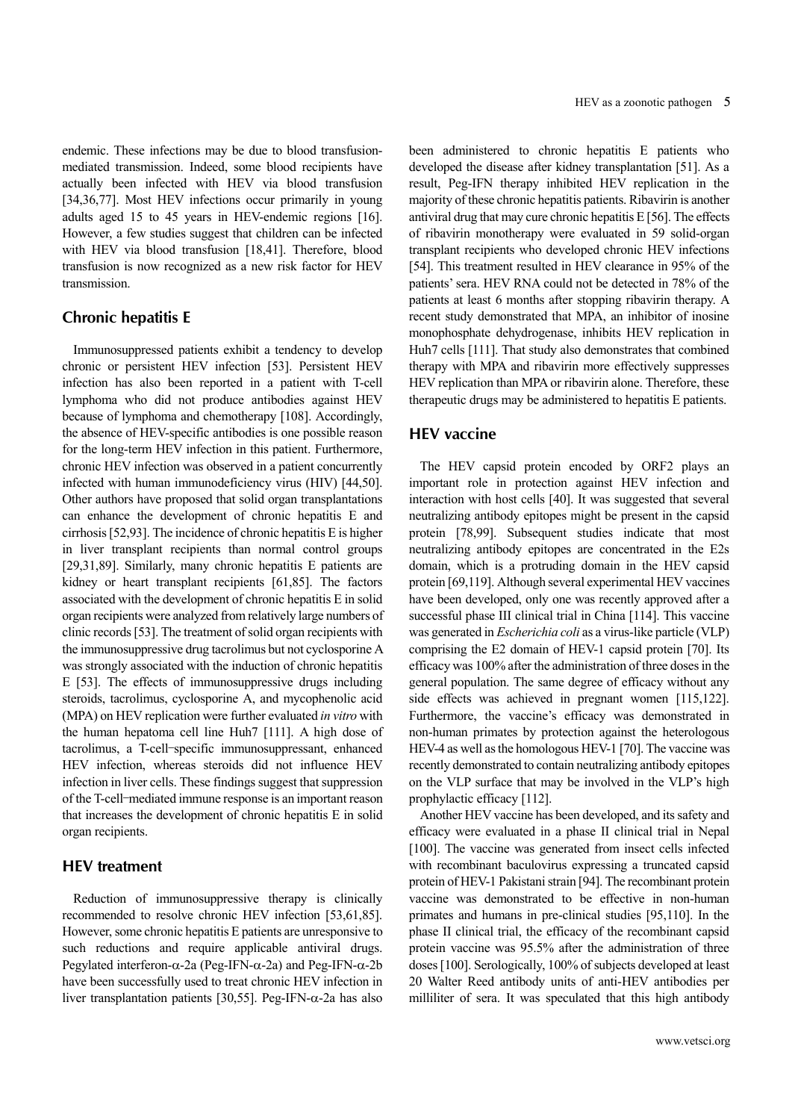endemic. These infections may be due to blood transfusionmediated transmission. Indeed, some blood recipients have actually been infected with HEV via blood transfusion [34,36,77]. Most HEV infections occur primarily in young adults aged 15 to 45 years in HEV-endemic regions [16]. However, a few studies suggest that children can be infected with HEV via blood transfusion [18,41]. Therefore, blood transfusion is now recognized as a new risk factor for HEV transmission.

#### **Chronic hepatitis E**

Immunosuppressed patients exhibit a tendency to develop chronic or persistent HEV infection [53]. Persistent HEV infection has also been reported in a patient with T-cell lymphoma who did not produce antibodies against HEV because of lymphoma and chemotherapy [108]. Accordingly, the absence of HEV-specific antibodies is one possible reason for the long-term HEV infection in this patient. Furthermore, chronic HEV infection was observed in a patient concurrently infected with human immunodeficiency virus (HIV) [44,50]. Other authors have proposed that solid organ transplantations can enhance the development of chronic hepatitis E and cirrhosis [52,93]. The incidence of chronic hepatitis E is higher in liver transplant recipients than normal control groups [29,31,89]. Similarly, many chronic hepatitis E patients are kidney or heart transplant recipients [61,85]. The factors associated with the development of chronic hepatitis E in solid organ recipients were analyzed from relatively large numbers of clinic records [53]. The treatment of solid organ recipients with the immunosuppressive drug tacrolimus but not cyclosporine A was strongly associated with the induction of chronic hepatitis E [53]. The effects of immunosuppressive drugs including steroids, tacrolimus, cyclosporine A, and mycophenolic acid (MPA) on HEV replication were further evaluated *in vitro* with the human hepatoma cell line Huh7 [111]. A high dose of tacrolimus, a T-cell–specific immunosuppressant, enhanced HEV infection, whereas steroids did not influence HEV infection in liver cells. These findings suggest that suppression of the T-cell–mediated immune response is an important reason that increases the development of chronic hepatitis E in solid organ recipients.

### **HEV treatment**

Reduction of immunosuppressive therapy is clinically recommended to resolve chronic HEV infection [53,61,85]. However, some chronic hepatitis E patients are unresponsive to such reductions and require applicable antiviral drugs. Pegylated interferon- $\alpha$ -2a (Peg-IFN- $\alpha$ -2a) and Peg-IFN- $\alpha$ -2b have been successfully used to treat chronic HEV infection in liver transplantation patients [30,55]. Peg-IFN- $\alpha$ -2a has also been administered to chronic hepatitis E patients who developed the disease after kidney transplantation [51]. As a result, Peg-IFN therapy inhibited HEV replication in the majority of these chronic hepatitis patients. Ribavirin is another antiviral drug that may cure chronic hepatitis E [56]. The effects of ribavirin monotherapy were evaluated in 59 solid-organ transplant recipients who developed chronic HEV infections [54]. This treatment resulted in HEV clearance in 95% of the patients' sera. HEV RNA could not be detected in 78% of the patients at least 6 months after stopping ribavirin therapy. A recent study demonstrated that MPA, an inhibitor of inosine monophosphate dehydrogenase, inhibits HEV replication in Huh7 cells [111]. That study also demonstrates that combined therapy with MPA and ribavirin more effectively suppresses HEV replication than MPA or ribavirin alone. Therefore, these therapeutic drugs may be administered to hepatitis E patients.

## **HEV vaccine**

The HEV capsid protein encoded by ORF2 plays an important role in protection against HEV infection and interaction with host cells [40]. It was suggested that several neutralizing antibody epitopes might be present in the capsid protein [78,99]. Subsequent studies indicate that most neutralizing antibody epitopes are concentrated in the E2s domain, which is a protruding domain in the HEV capsid protein [69,119]. Although several experimental HEV vaccines have been developed, only one was recently approved after a successful phase III clinical trial in China [114]. This vaccine was generated in *Escherichia coli* as a virus-like particle (VLP) comprising the E2 domain of HEV-1 capsid protein [70]. Its efficacy was 100% after the administration of three doses in the general population. The same degree of efficacy without any side effects was achieved in pregnant women [115,122]. Furthermore, the vaccine's efficacy was demonstrated in non-human primates by protection against the heterologous HEV-4 as well as the homologous HEV-1 [70]. The vaccine was recently demonstrated to contain neutralizing antibody epitopes on the VLP surface that may be involved in the VLP's high prophylactic efficacy [112].

Another HEV vaccine has been developed, and its safety and efficacy were evaluated in a phase II clinical trial in Nepal [100]. The vaccine was generated from insect cells infected with recombinant baculovirus expressing a truncated capsid protein of HEV-1 Pakistani strain [94]. The recombinant protein vaccine was demonstrated to be effective in non-human primates and humans in pre-clinical studies [95,110]. In the phase II clinical trial, the efficacy of the recombinant capsid protein vaccine was 95.5% after the administration of three doses [100]. Serologically, 100% of subjects developed at least 20 Walter Reed antibody units of anti-HEV antibodies per milliliter of sera. It was speculated that this high antibody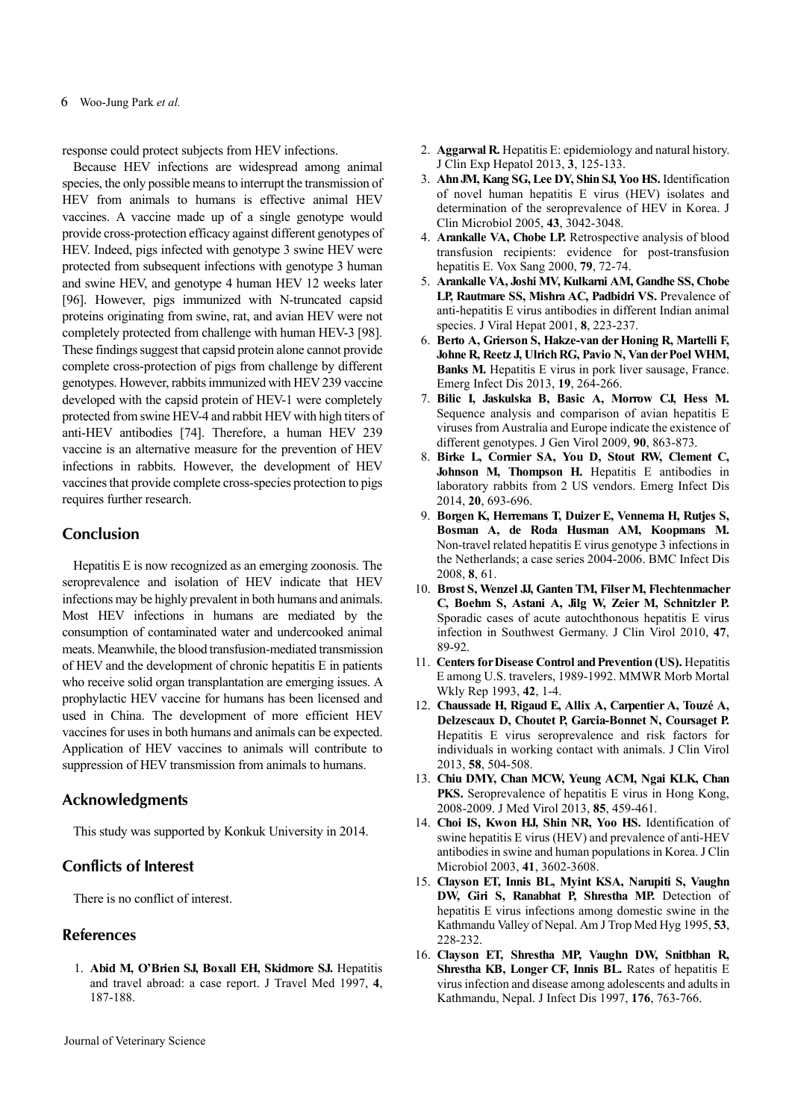response could protect subjects from HEV infections.

Because HEV infections are widespread among animal species, the only possible means to interrupt the transmission of HEV from animals to humans is effective animal HEV vaccines. A vaccine made up of a single genotype would provide cross-protection efficacy against different genotypes of HEV. Indeed, pigs infected with genotype 3 swine HEV were protected from subsequent infections with genotype 3 human and swine HEV, and genotype 4 human HEV 12 weeks later [96]. However, pigs immunized with N-truncated capsid proteins originating from swine, rat, and avian HEV were not completely protected from challenge with human HEV-3 [98]. These findings suggest that capsid protein alone cannot provide complete cross-protection of pigs from challenge by different genotypes. However, rabbits immunized with HEV 239 vaccine developed with the capsid protein of HEV-1 were completely protected from swine HEV-4 and rabbit HEV with high titers of anti-HEV antibodies [74]. Therefore, a human HEV 239 vaccine is an alternative measure for the prevention of HEV infections in rabbits. However, the development of HEV vaccines that provide complete cross-species protection to pigs requires further research.

#### **Conclusion**

Hepatitis E is now recognized as an emerging zoonosis. The seroprevalence and isolation of HEV indicate that HEV infections may be highly prevalent in both humans and animals. Most HEV infections in humans are mediated by the consumption of contaminated water and undercooked animal meats. Meanwhile, the blood transfusion-mediated transmission of HEV and the development of chronic hepatitis E in patients who receive solid organ transplantation are emerging issues. A prophylactic HEV vaccine for humans has been licensed and used in China. The development of more efficient HEV vaccines for uses in both humans and animals can be expected. Application of HEV vaccines to animals will contribute to suppression of HEV transmission from animals to humans.

#### **Acknowledgments**

This study was supported by Konkuk University in 2014.

### **Conflicts of Interest**

There is no conflict of interest.

#### **References**

1. **Abid M, O'Brien SJ, Boxall EH, Skidmore SJ.** Hepatitis and travel abroad: a case report. J Travel Med 1997, **4**, 187-188.

- 2. **Aggarwal R.** Hepatitis E: epidemiology and natural history. J Clin Exp Hepatol 2013, **3**, 125-133.
- 3. **Ahn JM, Kang SG, Lee DY, Shin SJ, Yoo HS.** Identification of novel human hepatitis E virus (HEV) isolates and determination of the seroprevalence of HEV in Korea. J Clin Microbiol 2005, **43**, 3042-3048.
- 4. **Arankalle VA, Chobe LP.** Retrospective analysis of blood transfusion recipients: evidence for post-transfusion hepatitis E. Vox Sang 2000, **79**, 72-74.
- 5. **Arankalle VA, Joshi MV, Kulkarni AM, Gandhe SS, Chobe LP, Rautmare SS, Mishra AC, Padbidri VS.** Prevalence of anti-hepatitis E virus antibodies in different Indian animal species. J Viral Hepat 2001, **8**, 223-237.
- 6. **Berto A, Grierson S, Hakze-van der Honing R, Martelli F, Johne R, Reetz J, Ulrich RG, Pavio N, Van der Poel WHM, Banks M.** Hepatitis E virus in pork liver sausage, France. Emerg Infect Dis 2013, **19**, 264-266.
- 7. **Bilic I, Jaskulska B, Basic A, Morrow CJ, Hess M.** Sequence analysis and comparison of avian hepatitis E viruses from Australia and Europe indicate the existence of different genotypes. J Gen Virol 2009, **90**, 863-873.
- 8. **Birke L, Cormier SA, You D, Stout RW, Clement C, Johnson M, Thompson H.** Hepatitis E antibodies in laboratory rabbits from 2 US vendors. Emerg Infect Dis 2014, **20**, 693-696.
- 9. **Borgen K, Herremans T, Duizer E, Vennema H, Rutjes S, Bosman A, de Roda Husman AM, Koopmans M.** Non-travel related hepatitis E virus genotype 3 infections in the Netherlands; a case series 2004-2006. BMC Infect Dis 2008, **8**, 61.
- 10. **Brost S, Wenzel JJ, Ganten TM, Filser M, Flechtenmacher C, Boehm S, Astani A, Jilg W, Zeier M, Schnitzler P.** Sporadic cases of acute autochthonous hepatitis E virus infection in Southwest Germany. J Clin Virol 2010, **47**, 89-92.
- 11. **Centers for Disease Control and Prevention (US).** Hepatitis E among U.S. travelers, 1989-1992. MMWR Morb Mortal Wkly Rep 1993, **42**, 1-4.
- 12. **Chaussade H, Rigaud E, Allix A, Carpentier A, Touzé A, Delzescaux D, Choutet P, Garcia-Bonnet N, Coursaget P.** Hepatitis E virus seroprevalence and risk factors for individuals in working contact with animals. J Clin Virol 2013, **58**, 504-508.
- 13. **Chiu DMY, Chan MCW, Yeung ACM, Ngai KLK, Chan PKS.** Seroprevalence of hepatitis E virus in Hong Kong, 2008-2009. J Med Virol 2013, **85**, 459-461.
- 14. **Choi IS, Kwon HJ, Shin NR, Yoo HS.** Identification of swine hepatitis E virus (HEV) and prevalence of anti-HEV antibodies in swine and human populations in Korea. J Clin Microbiol 2003, **41**, 3602-3608.
- 15. **Clayson ET, Innis BL, Myint KSA, Narupiti S, Vaughn DW, Giri S, Ranabhat P, Shrestha MP.** Detection of hepatitis E virus infections among domestic swine in the Kathmandu Valley of Nepal. Am J Trop Med Hyg 1995, **53**, 228-232.
- 16. **Clayson ET, Shrestha MP, Vaughn DW, Snitbhan R, Shrestha KB, Longer CF, Innis BL.** Rates of hepatitis E virus infection and disease among adolescents and adults in Kathmandu, Nepal. J Infect Dis 1997, **176**, 763-766.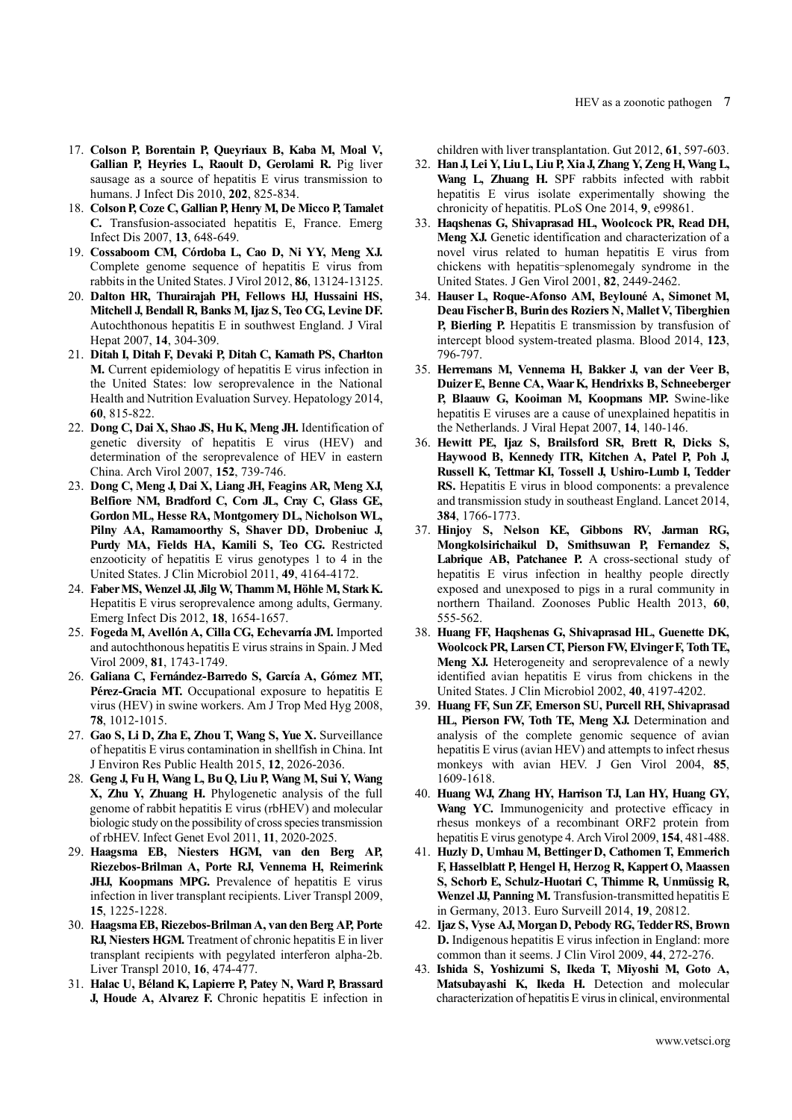- 17. **Colson P, Borentain P, Queyriaux B, Kaba M, Moal V, Gallian P, Heyries L, Raoult D, Gerolami R.** Pig liver sausage as a source of hepatitis E virus transmission to humans. J Infect Dis 2010, **202**, 825-834.
- 18. **Colson P, Coze C, Gallian P, Henry M, De Micco P, Tamalet C.** Transfusion-associated hepatitis E, France. Emerg Infect Dis 2007, **13**, 648-649.
- 19. **Cossaboom CM, Córdoba L, Cao D, Ni YY, Meng XJ.** Complete genome sequence of hepatitis E virus from rabbits in the United States. J Virol 2012, **86**, 13124-13125.
- 20. **Dalton HR, Thurairajah PH, Fellows HJ, Hussaini HS, Mitchell J, Bendall R, Banks M, Ijaz S, Teo CG, Levine DF.** Autochthonous hepatitis E in southwest England. J Viral Hepat 2007, **14**, 304-309.
- 21. **Ditah I, Ditah F, Devaki P, Ditah C, Kamath PS, Charlton M.** Current epidemiology of hepatitis E virus infection in the United States: low seroprevalence in the National Health and Nutrition Evaluation Survey. Hepatology 2014, **60**, 815-822.
- 22. **Dong C, Dai X, Shao JS, Hu K, Meng JH.** Identification of genetic diversity of hepatitis E virus (HEV) and determination of the seroprevalence of HEV in eastern China. Arch Virol 2007, **152**, 739-746.
- 23. **Dong C, Meng J, Dai X, Liang JH, Feagins AR, Meng XJ,**  Belfiore NM, Bradford C, Corn JL, Cray C, Glass GE, **Gordon ML, Hesse RA, Montgomery DL, Nicholson WL, Pilny AA, Ramamoorthy S, Shaver DD, Drobeniuc J, Purdy MA, Fields HA, Kamili S, Teo CG.** Restricted enzooticity of hepatitis E virus genotypes 1 to 4 in the United States. J Clin Microbiol 2011, **49**, 4164-4172.
- 24. **Faber MS, Wenzel JJ, Jilg W, Thamm M, Höhle M, Stark K.** Hepatitis E virus seroprevalence among adults, Germany. Emerg Infect Dis 2012, **18**, 1654-1657.
- 25. **Fogeda M, Avellón A, Cilla CG, Echevarría JM.** Imported and autochthonous hepatitis E virus strains in Spain. J Med Virol 2009, **81**, 1743-1749.
- 26. **Galiana C, Fernández-Barredo S, García A, Gómez MT,**  Pérez-Gracia MT. Occupational exposure to hepatitis E virus (HEV) in swine workers. Am J Trop Med Hyg 2008, **78**, 1012-1015.
- 27. **Gao S, Li D, Zha E, Zhou T, Wang S, Yue X.** Surveillance of hepatitis E virus contamination in shellfish in China. Int J Environ Res Public Health 2015, **12**, 2026-2036.
- 28. **Geng J, Fu H, Wang L, Bu Q, Liu P, Wang M, Sui Y, Wang X, Zhu Y, Zhuang H.** Phylogenetic analysis of the full genome of rabbit hepatitis E virus (rbHEV) and molecular biologic study on the possibility of cross species transmission of rbHEV. Infect Genet Evol 2011, **11**, 2020-2025.
- 29. **Haagsma EB, Niesters HGM, van den Berg AP, Riezebos-Brilman A, Porte RJ, Vennema H, Reimerink JHJ, Koopmans MPG.** Prevalence of hepatitis E virus infection in liver transplant recipients. Liver Transpl 2009, **15**, 1225-1228.
- 30. **Haagsma EB, Riezebos-Brilman A, van den Berg AP, Porte RJ, Niesters HGM.** Treatment of chronic hepatitis E in liver transplant recipients with pegylated interferon alpha-2b. Liver Transpl 2010, **16**, 474-477.
- 31. **Halac U, Béland K, Lapierre P, Patey N, Ward P, Brassard J, Houde A, Alvarez F.** Chronic hepatitis E infection in

children with liver transplantation. Gut 2012, **61**, 597-603.

- 32. **Han J, Lei Y, Liu L, Liu P, Xia J, Zhang Y, Zeng H, Wang L, Wang L, Zhuang H.** SPF rabbits infected with rabbit hepatitis E virus isolate experimentally showing the chronicity of hepatitis. PLoS One 2014, **9**, e99861.
- 33. **Haqshenas G, Shivaprasad HL, Woolcock PR, Read DH, Meng XJ.** Genetic identification and characterization of a novel virus related to human hepatitis E virus from chickens with hepatitis–splenomegaly syndrome in the United States. J Gen Virol 2001, **82**, 2449-2462.
- 34. **Hauser L, Roque-Afonso AM, Beylouné A, Simonet M, Deau Fischer B, Burin des Roziers N, Mallet V, Tiberghien P, Bierling P.** Hepatitis E transmission by transfusion of intercept blood system-treated plasma. Blood 2014, **123**, 796-797.
- 35. **Herremans M, Vennema H, Bakker J, van der Veer B, Duizer E, Benne CA, Waar K, Hendrixks B, Schneeberger P, Blaauw G, Kooiman M, Koopmans MP.** Swine-like hepatitis E viruses are a cause of unexplained hepatitis in the Netherlands. J Viral Hepat 2007, **14**, 140-146.
- 36. **Hewitt PE, Ijaz S, Brailsford SR, Brett R, Dicks S, Haywood B, Kennedy ITR, Kitchen A, Patel P, Poh J, Russell K, Tettmar KI, Tossell J, Ushiro-Lumb I, Tedder RS.** Hepatitis E virus in blood components: a prevalence and transmission study in southeast England. Lancet 2014, **384**, 1766-1773.
- 37. **Hinjoy S, Nelson KE, Gibbons RV, Jarman RG, Mongkolsirichaikul D, Smithsuwan P, Fernandez S, Labrique AB, Patchanee P.** A cross-sectional study of hepatitis E virus infection in healthy people directly exposed and unexposed to pigs in a rural community in northern Thailand. Zoonoses Public Health 2013, **60**, 555-562.
- 38. **Huang FF, Haqshenas G, Shivaprasad HL, Guenette DK, Woolcock PR, Larsen CT, Pierson FW, Elvinger F, Toth TE, Meng XJ.** Heterogeneity and seroprevalence of a newly identified avian hepatitis E virus from chickens in the United States. J Clin Microbiol 2002, **40**, 4197-4202.
- 39. **Huang FF, Sun ZF, Emerson SU, Purcell RH, Shivaprasad HL, Pierson FW, Toth TE, Meng XJ.** Determination and analysis of the complete genomic sequence of avian hepatitis E virus (avian HEV) and attempts to infect rhesus monkeys with avian HEV. J Gen Virol 2004, **85**, 1609-1618.
- 40. **Huang WJ, Zhang HY, Harrison TJ, Lan HY, Huang GY, Wang YC.** Immunogenicity and protective efficacy in rhesus monkeys of a recombinant ORF2 protein from hepatitis E virus genotype 4. Arch Virol 2009, **154**, 481-488.
- 41. **Huzly D, Umhau M, Bettinger D, Cathomen T, Emmerich F, Hasselblatt P, Hengel H, Herzog R, Kappert O, Maassen S, Schorb E, Schulz-Huotari C, Thimme R, Unmüssig R, Wenzel JJ, Panning M.** Transfusion-transmitted hepatitis E in Germany, 2013. Euro Surveill 2014, **19**, 20812.
- 42. **Ijaz S, Vyse AJ, Morgan D, Pebody RG, Tedder RS, Brown D.** Indigenous hepatitis E virus infection in England: more common than it seems. J Clin Virol 2009, **44**, 272-276.
- 43. **Ishida S, Yoshizumi S, Ikeda T, Miyoshi M, Goto A, Matsubayashi K, Ikeda H.** Detection and molecular characterization of hepatitis E virus in clinical, environmental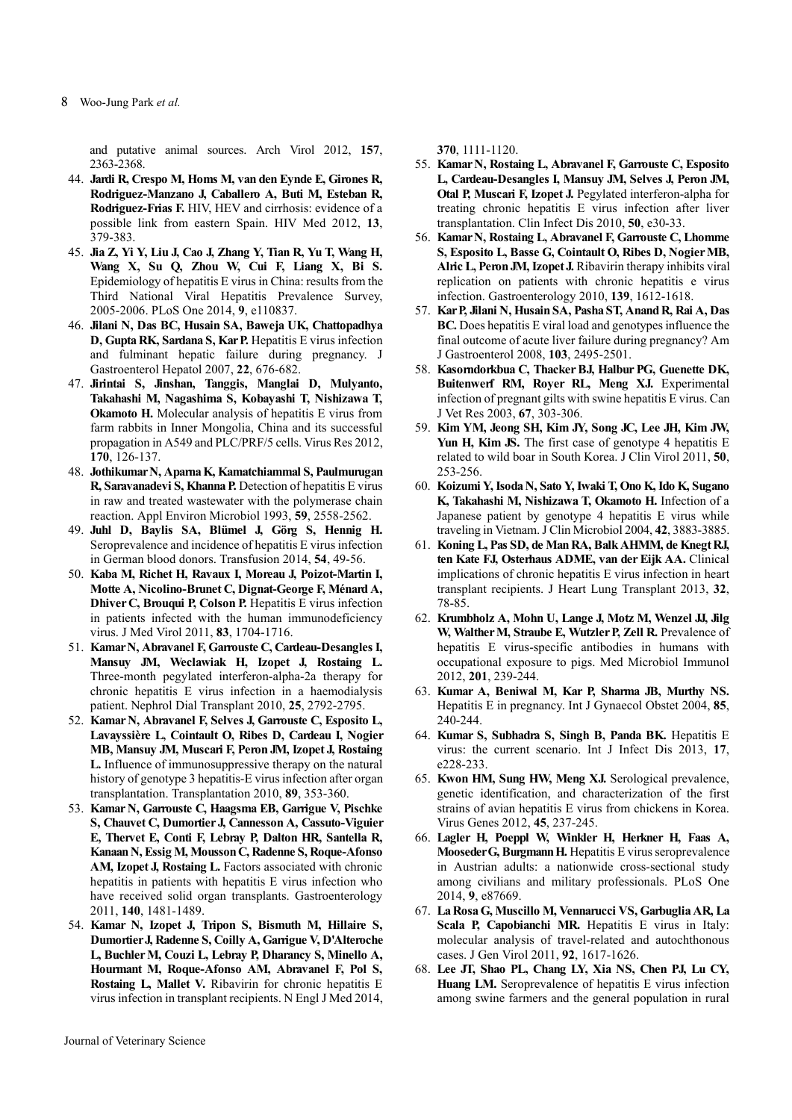#### 8 Woo-Jung Park *et al.*

and putative animal sources. Arch Virol 2012, **157**, 2363-2368.

- 44. **Jardi R, Crespo M, Homs M, van den Eynde E, Girones R, Rodriguez-Manzano J, Caballero A, Buti M, Esteban R, Rodriguez-Frias F.** HIV, HEV and cirrhosis: evidence of a possible link from eastern Spain. HIV Med 2012, **13**, 379-383.
- 45. **Jia Z, Yi Y, Liu J, Cao J, Zhang Y, Tian R, Yu T, Wang H, Wang X, Su Q, Zhou W, Cui F, Liang X, Bi S.** Epidemiology of hepatitis E virus in China: results from the Third National Viral Hepatitis Prevalence Survey, 2005-2006. PLoS One 2014, **9**, e110837.
- 46. **Jilani N, Das BC, Husain SA, Baweja UK, Chattopadhya D, Gupta RK, Sardana S, Kar P.** Hepatitis E virus infection and fulminant hepatic failure during pregnancy. J Gastroenterol Hepatol 2007, **22**, 676-682.
- 47. **Jirintai S, Jinshan, Tanggis, Manglai D, Mulyanto, Takahashi M, Nagashima S, Kobayashi T, Nishizawa T, Okamoto H.** Molecular analysis of hepatitis E virus from farm rabbits in Inner Mongolia, China and its successful propagation in A549 and PLC/PRF/5 cells. Virus Res 2012, **170**, 126-137.
- 48. **Jothikumar N, Aparna K, Kamatchiammal S, Paulmurugan R, Saravanadevi S, Khanna P.** Detection of hepatitis E virus in raw and treated wastewater with the polymerase chain reaction. Appl Environ Microbiol 1993, **59**, 2558-2562.
- 49. **Juhl D, Baylis SA, Blümel J, Görg S, Hennig H.** Seroprevalence and incidence of hepatitis E virus infection in German blood donors. Transfusion 2014, **54**, 49-56.
- 50. **Kaba M, Richet H, Ravaux I, Moreau J, Poizot-Martin I, Motte A, Nicolino-Brunet C, Dignat-George F, Ménard A, Dhiver C, Brouqui P, Colson P.** Hepatitis E virus infection in patients infected with the human immunodeficiency virus. J Med Virol 2011, **83**, 1704-1716.
- 51. **Kamar N, Abravanel F, Garrouste C, Cardeau-Desangles I, Mansuy JM, Weclawiak H, Izopet J, Rostaing L.** Three-month pegylated interferon-alpha-2a therapy for chronic hepatitis E virus infection in a haemodialysis patient. Nephrol Dial Transplant 2010, **25**, 2792-2795.
- 52. **Kamar N, Abravanel F, Selves J, Garrouste C, Esposito L, Lavayssière L, Cointault O, Ribes D, Cardeau I, Nogier MB, Mansuy JM, Muscari F, Peron JM, Izopet J, Rostaing L.** Influence of immunosuppressive therapy on the natural history of genotype 3 hepatitis-E virus infection after organ transplantation. Transplantation 2010, **89**, 353-360.
- 53. **Kamar N, Garrouste C, Haagsma EB, Garrigue V, Pischke S, Chauvet C, Dumortier J, Cannesson A, Cassuto-Viguier E, Thervet E, Conti F, Lebray P, Dalton HR, Santella R, Kanaan N, Essig M, Mousson C, Radenne S, Roque-Afonso AM, Izopet J, Rostaing L.** Factors associated with chronic hepatitis in patients with hepatitis E virus infection who have received solid organ transplants. Gastroenterology 2011, **140**, 1481-1489.
- 54. **Kamar N, Izopet J, Tripon S, Bismuth M, Hillaire S, Dumortier J, Radenne S, Coilly A, Garrigue V, D'Alteroche L, Buchler M, Couzi L, Lebray P, Dharancy S, Minello A, Hourmant M, Roque-Afonso AM, Abravanel F, Pol S, Rostaing L, Mallet V.** Ribavirin for chronic hepatitis E virus infection in transplant recipients. N Engl J Med 2014,

**370**, 1111-1120.

- 55. **Kamar N, Rostaing L, Abravanel F, Garrouste C, Esposito L, Cardeau-Desangles I, Mansuy JM, Selves J, Peron JM, Otal P, Muscari F, Izopet J.** Pegylated interferon-alpha for treating chronic hepatitis E virus infection after liver transplantation. Clin Infect Dis 2010, **50**, e30-33.
- 56. **Kamar N, Rostaing L, Abravanel F, Garrouste C, Lhomme S, Esposito L, Basse G, Cointault O, Ribes D, Nogier MB, Alric L, Peron JM, Izopet J.** Ribavirin therapy inhibits viral replication on patients with chronic hepatitis e virus infection. Gastroenterology 2010, **139**, 1612-1618.
- 57. **Kar P, Jilani N, Husain SA, Pasha ST, Anand R, Rai A, Das BC.** Does hepatitis E viral load and genotypes influence the final outcome of acute liver failure during pregnancy? Am J Gastroenterol 2008, **103**, 2495-2501.
- 58. **Kasorndorkbua C, Thacker BJ, Halbur PG, Guenette DK, Buitenwerf RM, Royer RL, Meng XJ.** Experimental infection of pregnant gilts with swine hepatitis E virus. Can J Vet Res 2003, **67**, 303-306.
- 59. **Kim YM, Jeong SH, Kim JY, Song JC, Lee JH, Kim JW,**  Yun H, Kim JS. The first case of genotype 4 hepatitis E related to wild boar in South Korea. J Clin Virol 2011, **50**, 253-256.
- 60. **Koizumi Y, Isoda N, Sato Y, Iwaki T, Ono K, Ido K, Sugano K, Takahashi M, Nishizawa T, Okamoto H.** Infection of a Japanese patient by genotype 4 hepatitis E virus while traveling in Vietnam. J Clin Microbiol 2004, **42**, 3883-3885.
- 61. **Koning L, Pas SD, de Man RA, Balk AHMM, de Knegt RJ, ten Kate FJ, Osterhaus ADME, van der Eijk AA.** Clinical implications of chronic hepatitis E virus infection in heart transplant recipients. J Heart Lung Transplant 2013, **32**, 78-85.
- 62. **Krumbholz A, Mohn U, Lange J, Motz M, Wenzel JJ, Jilg W, Walther M, Straube E, Wutzler P, Zell R.** Prevalence of hepatitis E virus-specific antibodies in humans with occupational exposure to pigs. Med Microbiol Immunol 2012, **201**, 239-244.
- 63. **Kumar A, Beniwal M, Kar P, Sharma JB, Murthy NS.** Hepatitis E in pregnancy. Int J Gynaecol Obstet 2004, **85**, 240-244.
- 64. **Kumar S, Subhadra S, Singh B, Panda BK.** Hepatitis E virus: the current scenario. Int J Infect Dis 2013, **17**, e228-233.
- 65. **Kwon HM, Sung HW, Meng XJ.** Serological prevalence, genetic identification, and characterization of the first strains of avian hepatitis E virus from chickens in Korea. Virus Genes 2012, **45**, 237-245.
- 66. **Lagler H, Poeppl W, Winkler H, Herkner H, Faas A, Mooseder G, Burgmann H.** Hepatitis E virus seroprevalence in Austrian adults: a nationwide cross-sectional study among civilians and military professionals. PLoS One 2014, **9**, e87669.
- 67. **La Rosa G, Muscillo M, Vennarucci VS, Garbuglia AR, La Scala P, Capobianchi MR.** Hepatitis E virus in Italy: molecular analysis of travel-related and autochthonous cases. J Gen Virol 2011, **92**, 1617-1626.
- 68. **Lee JT, Shao PL, Chang LY, Xia NS, Chen PJ, Lu CY, Huang LM.** Seroprevalence of hepatitis E virus infection among swine farmers and the general population in rural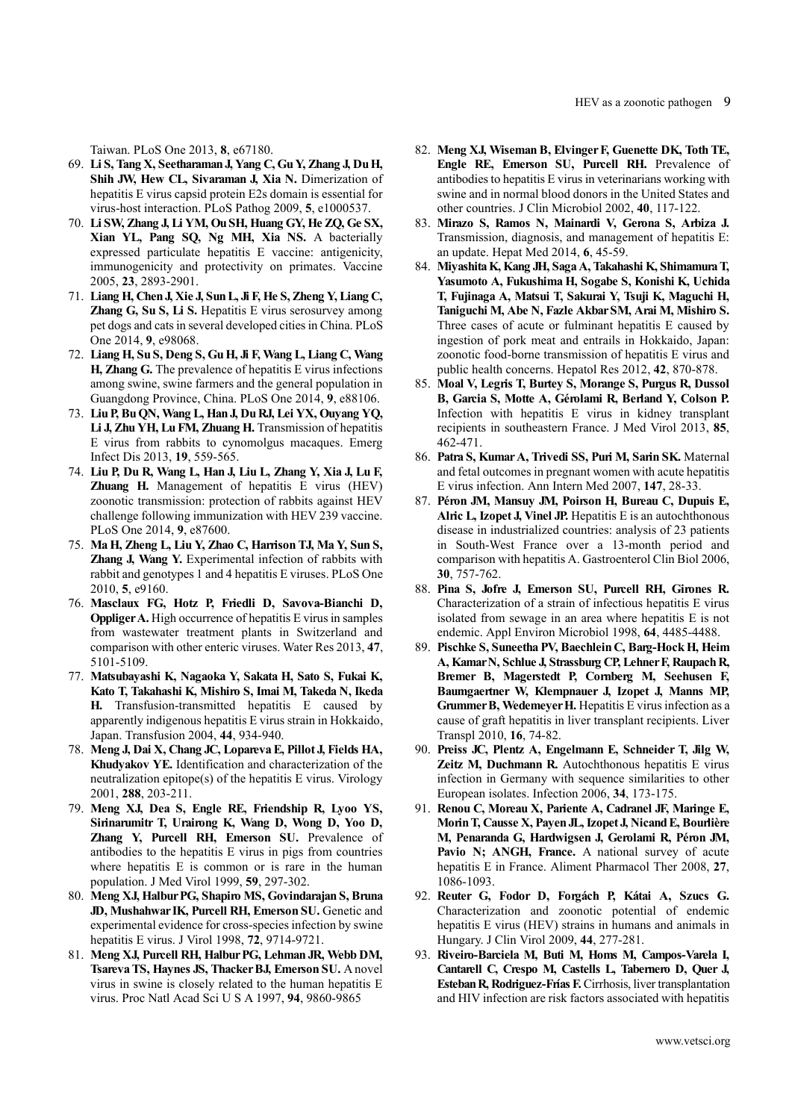Taiwan. PLoS One 2013, **8**, e67180.

- 69. **Li S, Tang X, Seetharaman J, Yang C, Gu Y, Zhang J, Du H, Shih JW, Hew CL, Sivaraman J, Xia N.** Dimerization of hepatitis E virus capsid protein E2s domain is essential for virus-host interaction. PLoS Pathog 2009, **5**, e1000537.
- 70. **Li SW, Zhang J, Li YM, Ou SH, Huang GY, He ZQ, Ge SX, Xian YL, Pang SQ, Ng MH, Xia NS.** A bacterially expressed particulate hepatitis E vaccine: antigenicity, immunogenicity and protectivity on primates. Vaccine 2005, **23**, 2893-2901.
- 71. **Liang H, Chen J, Xie J, Sun L, Ji F, He S, Zheng Y, Liang C, Zhang G, Su S, Li S.** Hepatitis E virus serosurvey among pet dogs and cats in several developed cities in China. PLoS One 2014, **9**, e98068.
- 72. **Liang H, Su S, Deng S, Gu H, Ji F, Wang L, Liang C, Wang H, Zhang G.** The prevalence of hepatitis E virus infections among swine, swine farmers and the general population in Guangdong Province, China. PLoS One 2014, **9**, e88106.
- 73. **Liu P, Bu QN, Wang L, Han J, Du RJ, Lei YX, Ouyang YQ, Li J, Zhu YH, Lu FM, Zhuang H.** Transmission of hepatitis E virus from rabbits to cynomolgus macaques. Emerg Infect Dis 2013, **19**, 559-565.
- 74. **Liu P, Du R, Wang L, Han J, Liu L, Zhang Y, Xia J, Lu F, Zhuang H.** Management of hepatitis E virus (HEV) zoonotic transmission: protection of rabbits against HEV challenge following immunization with HEV 239 vaccine. PLoS One 2014, **9**, e87600.
- 75. **Ma H, Zheng L, Liu Y, Zhao C, Harrison TJ, Ma Y, Sun S, Zhang J, Wang Y.** Experimental infection of rabbits with rabbit and genotypes 1 and 4 hepatitis E viruses. PLoS One 2010, **5**, e9160.
- 76. **Masclaux FG, Hotz P, Friedli D, Savova-Bianchi D, Oppliger A.** High occurrence of hepatitis E virus in samples from wastewater treatment plants in Switzerland and comparison with other enteric viruses. Water Res 2013, **47**, 5101-5109.
- 77. **Matsubayashi K, Nagaoka Y, Sakata H, Sato S, Fukai K, Kato T, Takahashi K, Mishiro S, Imai M, Takeda N, Ikeda H.** Transfusion-transmitted hepatitis E caused by apparently indigenous hepatitis E virus strain in Hokkaido, Japan. Transfusion 2004, **44**, 934-940.
- 78. **Meng J, Dai X, Chang JC, Lopareva E, Pillot J, Fields HA, Khudyakov YE.** Identification and characterization of the neutralization epitope(s) of the hepatitis E virus. Virology 2001, **288**, 203-211.
- 79. **Meng XJ, Dea S, Engle RE, Friendship R, Lyoo YS, Sirinarumitr T, Urairong K, Wang D, Wong D, Yoo D, Zhang Y, Purcell RH, Emerson SU.** Prevalence of antibodies to the hepatitis E virus in pigs from countries where hepatitis E is common or is rare in the human population. J Med Virol 1999, **59**, 297-302.
- 80. **Meng XJ, Halbur PG, Shapiro MS, Govindarajan S, Bruna JD, Mushahwar IK, Purcell RH, Emerson SU.** Genetic and experimental evidence for cross-species infection by swine hepatitis E virus. J Virol 1998, **72**, 9714-9721.
- 81. **Meng XJ, Purcell RH, Halbur PG, Lehman JR, Webb DM, Tsareva TS, Haynes JS, Thacker BJ, Emerson SU.** A novel virus in swine is closely related to the human hepatitis E virus. Proc Natl Acad Sci U S A 1997, **94**, 9860-9865
- 82. **Meng XJ, Wiseman B, Elvinger F, Guenette DK, Toth TE, Engle RE, Emerson SU, Purcell RH.** Prevalence of antibodies to hepatitis E virus in veterinarians working with swine and in normal blood donors in the United States and other countries. J Clin Microbiol 2002, **40**, 117-122.
- 83. **Mirazo S, Ramos N, Mainardi V, Gerona S, Arbiza J.** Transmission, diagnosis, and management of hepatitis E: an update. Hepat Med 2014, **6**, 45-59.
- 84. **Miyashita K, Kang JH, Saga A, Takahashi K, Shimamura T, Yasumoto A, Fukushima H, Sogabe S, Konishi K, Uchida T, Fujinaga A, Matsui T, Sakurai Y, Tsuji K, Maguchi H, Taniguchi M, Abe N, Fazle Akbar SM, Arai M, Mishiro S.** Three cases of acute or fulminant hepatitis E caused by ingestion of pork meat and entrails in Hokkaido, Japan: zoonotic food-borne transmission of hepatitis E virus and public health concerns. Hepatol Res 2012, **42**, 870-878.
- 85. **Moal V, Legris T, Burtey S, Morange S, Purgus R, Dussol B, Garcia S, Motte A, Gérolami R, Berland Y, Colson P.**  Infection with hepatitis E virus in kidney transplant recipients in southeastern France. J Med Virol 2013, **85**, 462-471.
- 86. **Patra S, Kumar A, Trivedi SS, Puri M, Sarin SK.** Maternal and fetal outcomes in pregnant women with acute hepatitis E virus infection. Ann Intern Med 2007, **147**, 28-33.
- 87. **Péron JM, Mansuy JM, Poirson H, Bureau C, Dupuis E, Alric L, Izopet J, Vinel JP.** Hepatitis E is an autochthonous disease in industrialized countries: analysis of 23 patients in South-West France over a 13-month period and comparison with hepatitis A. Gastroenterol Clin Biol 2006, **30**, 757-762.
- 88. **Pina S, Jofre J, Emerson SU, Purcell RH, Girones R.** Characterization of a strain of infectious hepatitis E virus isolated from sewage in an area where hepatitis E is not endemic. Appl Environ Microbiol 1998, **64**, 4485-4488.
- 89. **Pischke S, Suneetha PV, Baechlein C, Barg-Hock H, Heim A, Kamar N, Schlue J, Strassburg CP, Lehner F, Raupach R, Bremer B, Magerstedt P, Cornberg M, Seehusen F, Baumgaertner W, Klempnauer J, Izopet J, Manns MP, Grummer B, Wedemeyer H.** Hepatitis E virus infection as a cause of graft hepatitis in liver transplant recipients. Liver Transpl 2010, **16**, 74-82.
- 90. **Preiss JC, Plentz A, Engelmann E, Schneider T, Jilg W, Zeitz M, Duchmann R.** Autochthonous hepatitis E virus infection in Germany with sequence similarities to other European isolates. Infection 2006, **34**, 173-175.
- 91. **Renou C, Moreau X, Pariente A, Cadranel JF, Maringe E, Morin T, Causse X, Payen JL, Izopet J, Nicand E, Bourlière M, Penaranda G, Hardwigsen J, Gerolami R, Péron JM,**  Pavio N; ANGH, France. A national survey of acute hepatitis E in France. Aliment Pharmacol Ther 2008, **27**, 1086-1093.
- 92. **Reuter G, Fodor D, Forgách P, Kátai A, Szucs G.** Characterization and zoonotic potential of endemic hepatitis E virus (HEV) strains in humans and animals in Hungary. J Clin Virol 2009, **44**, 277-281.
- 93. **Riveiro-Barciela M, Buti M, Homs M, Campos-Varela I, Cantarell C, Crespo M, Castells L, Tabernero D, Quer J, Esteban R, Rodriguez-Frías F.** Cirrhosis, liver transplantation and HIV infection are risk factors associated with hepatitis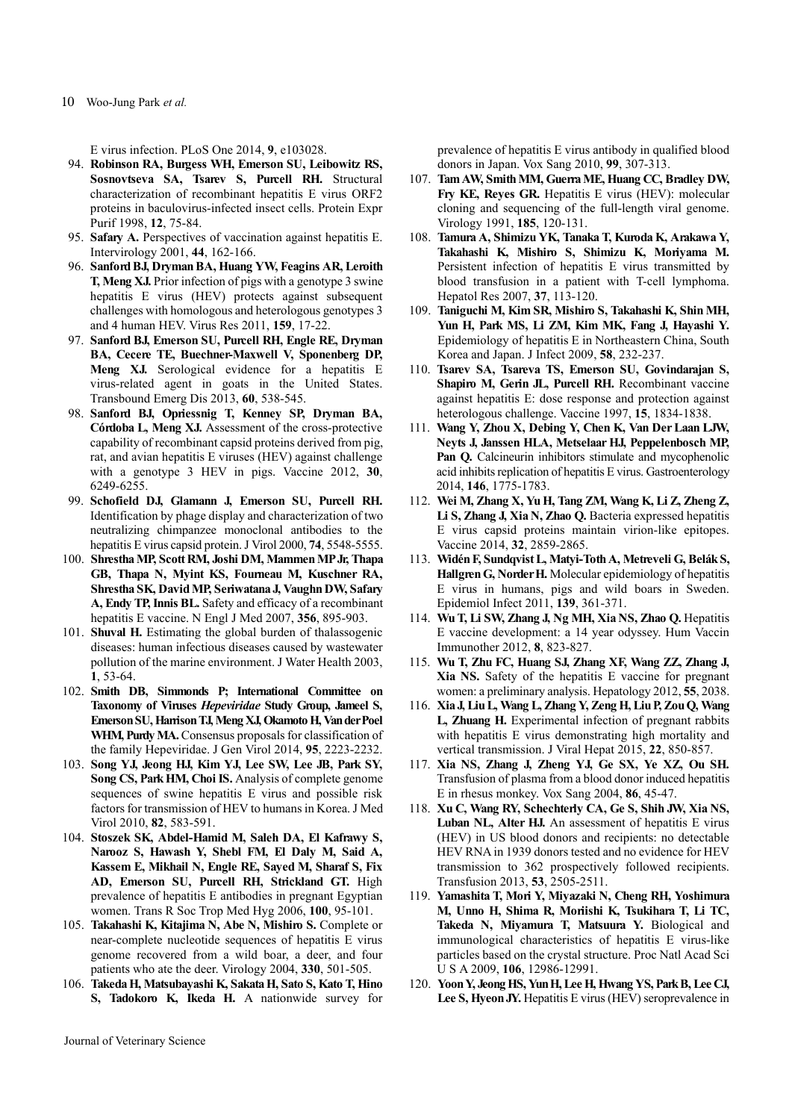10 Woo-Jung Park *et al.*

E virus infection. PLoS One 2014, **9**, e103028.

- 94. **Robinson RA, Burgess WH, Emerson SU, Leibowitz RS, Sosnovtseva SA, Tsarev S, Purcell RH.** Structural characterization of recombinant hepatitis E virus ORF2 proteins in baculovirus-infected insect cells. Protein Expr Purif 1998, **12**, 75-84.
- 95. **Safary A.** Perspectives of vaccination against hepatitis E. Intervirology 2001, **44**, 162-166.
- 96. **Sanford BJ, Dryman BA, Huang YW, Feagins AR, Leroith T, Meng XJ.** Prior infection of pigs with a genotype 3 swine hepatitis E virus (HEV) protects against subsequent challenges with homologous and heterologous genotypes 3 and 4 human HEV. Virus Res 2011, **159**, 17-22.
- 97. **Sanford BJ, Emerson SU, Purcell RH, Engle RE, Dryman BA, Cecere TE, Buechner-Maxwell V, Sponenberg DP,**  Meng XJ. Serological evidence for a hepatitis E virus-related agent in goats in the United States. Transbound Emerg Dis 2013, **60**, 538-545.
- 98. **Sanford BJ, Opriessnig T, Kenney SP, Dryman BA, Córdoba L, Meng XJ.** Assessment of the cross-protective capability of recombinant capsid proteins derived from pig, rat, and avian hepatitis E viruses (HEV) against challenge with a genotype 3 HEV in pigs. Vaccine 2012, **30**, 6249-6255.
- 99. **Schofield DJ, Glamann J, Emerson SU, Purcell RH.** Identification by phage display and characterization of two neutralizing chimpanzee monoclonal antibodies to the hepatitis E virus capsid protein. J Virol 2000, **74**, 5548-5555.
- 100. **Shrestha MP, Scott RM, Joshi DM, Mammen MP Jr, Thapa GB, Thapa N, Myint KS, Fourneau M, Kuschner RA, Shrestha SK, David MP, Seriwatana J, Vaughn DW, Safary A, Endy TP, Innis BL.** Safety and efficacy of a recombinant hepatitis E vaccine. N Engl J Med 2007, **356**, 895-903.
- 101. **Shuval H.** Estimating the global burden of thalassogenic diseases: human infectious diseases caused by wastewater pollution of the marine environment. J Water Health 2003, **1**, 53-64.
- 102. **Smith DB, Simmonds P; International Committee on Taxonomy of Viruses** *Hepeviridae* **Study Group, Jameel S, Emerson SU, Harrison TJ, Meng XJ, Okamoto H, Van der Poel WHM, Purdy MA.** Consensus proposals for classification of the family Hepeviridae. J Gen Virol 2014, **95**, 2223-2232.
- 103. **Song YJ, Jeong HJ, Kim YJ, Lee SW, Lee JB, Park SY, Song CS, Park HM, Choi IS.** Analysis of complete genome sequences of swine hepatitis E virus and possible risk factors for transmission of HEV to humans in Korea. J Med Virol 2010, **82**, 583-591.
- 104. **Stoszek SK, Abdel-Hamid M, Saleh DA, El Kafrawy S, Narooz S, Hawash Y, Shebl FM, El Daly M, Said A, Kassem E, Mikhail N, Engle RE, Sayed M, Sharaf S, Fix AD, Emerson SU, Purcell RH, Strickland GT.** High prevalence of hepatitis E antibodies in pregnant Egyptian women. Trans R Soc Trop Med Hyg 2006, **100**, 95-101.
- 105. **Takahashi K, Kitajima N, Abe N, Mishiro S.** Complete or near-complete nucleotide sequences of hepatitis E virus genome recovered from a wild boar, a deer, and four patients who ate the deer. Virology 2004, **330**, 501-505.
- 106. **Takeda H, Matsubayashi K, Sakata H, Sato S, Kato T, Hino S, Tadokoro K, Ikeda H.** A nationwide survey for

prevalence of hepatitis E virus antibody in qualified blood donors in Japan. Vox Sang 2010, **99**, 307-313.

- 107. **Tam AW, Smith MM, Guerra ME, Huang CC, Bradley DW, Fry KE, Reyes GR.** Hepatitis E virus (HEV): molecular cloning and sequencing of the full-length viral genome. Virology 1991, **185**, 120-131.
- 108. **Tamura A, Shimizu YK, Tanaka T, Kuroda K, Arakawa Y, Takahashi K, Mishiro S, Shimizu K, Moriyama M.** Persistent infection of hepatitis E virus transmitted by blood transfusion in a patient with T-cell lymphoma. Hepatol Res 2007, **37**, 113-120.
- 109. **Taniguchi M, Kim SR, Mishiro S, Takahashi K, Shin MH, Yun H, Park MS, Li ZM, Kim MK, Fang J, Hayashi Y.** Epidemiology of hepatitis E in Northeastern China, South Korea and Japan. J Infect 2009, **58**, 232-237.
- 110. **Tsarev SA, Tsareva TS, Emerson SU, Govindarajan S, Shapiro M, Gerin JL, Purcell RH.** Recombinant vaccine against hepatitis E: dose response and protection against heterologous challenge. Vaccine 1997, **15**, 1834-1838.
- 111. **Wang Y, Zhou X, Debing Y, Chen K, Van Der Laan LJW, Neyts J, Janssen HLA, Metselaar HJ, Peppelenbosch MP, Pan Q.** Calcineurin inhibitors stimulate and mycophenolic acid inhibits replication of hepatitis E virus. Gastroenterology 2014, **146**, 1775-1783.
- 112. **Wei M, Zhang X, Yu H, Tang ZM, Wang K, Li Z, Zheng Z, Li S, Zhang J, Xia N, Zhao Q.** Bacteria expressed hepatitis E virus capsid proteins maintain virion-like epitopes. Vaccine 2014, **32**, 2859-2865.
- 113. **Widén F, Sundqvist L, Matyi-Toth A, Metreveli G, Belák S, Hallgren G, Norder H.** Molecular epidemiology of hepatitis E virus in humans, pigs and wild boars in Sweden. Epidemiol Infect 2011, **139**, 361-371.
- 114. **Wu T, Li SW, Zhang J, Ng MH, Xia NS, Zhao Q.** Hepatitis E vaccine development: a 14 year odyssey. Hum Vaccin Immunother 2012, **8**, 823-827.
- 115. **Wu T, Zhu FC, Huang SJ, Zhang XF, Wang ZZ, Zhang J, Xia NS.** Safety of the hepatitis E vaccine for pregnant women: a preliminary analysis. Hepatology 2012, **55**, 2038.
- 116. **Xia J, Liu L, Wang L, Zhang Y, Zeng H, Liu P, Zou Q, Wang L, Zhuang H.** Experimental infection of pregnant rabbits with hepatitis E virus demonstrating high mortality and vertical transmission. J Viral Hepat 2015, **22**, 850-857.
- 117. **Xia NS, Zhang J, Zheng YJ, Ge SX, Ye XZ, Ou SH.** Transfusion of plasma from a blood donor induced hepatitis E in rhesus monkey. Vox Sang 2004, **86**, 45-47.
- 118. **Xu C, Wang RY, Schechterly CA, Ge S, Shih JW, Xia NS,**  Luban NL, Alter HJ. An assessment of hepatitis E virus (HEV) in US blood donors and recipients: no detectable HEV RNA in 1939 donors tested and no evidence for HEV transmission to 362 prospectively followed recipients. Transfusion 2013, **53**, 2505-2511.
- 119. **Yamashita T, Mori Y, Miyazaki N, Cheng RH, Yoshimura M, Unno H, Shima R, Moriishi K, Tsukihara T, Li TC, Takeda N, Miyamura T, Matsuura Y.** Biological and immunological characteristics of hepatitis E virus-like particles based on the crystal structure. Proc Natl Acad Sci U S A 2009, **106**, 12986-12991.
- 120. **Yoon Y, Jeong HS, Yun H, Lee H, Hwang YS, Park B, Lee CJ, Lee S, Hyeon JY.** Hepatitis E virus (HEV) seroprevalence in